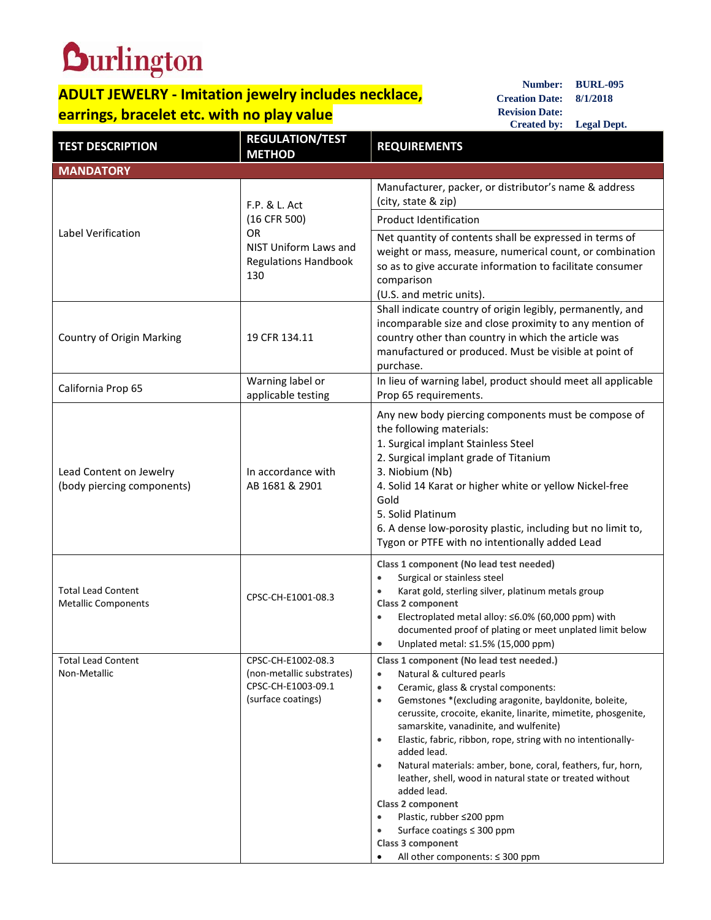## **Durlington**

## **ADULT JEWELRY - Imitation jewelry includes necklace, earrings, bracelet etc. with no play value**

**Number: BURL-095 Creation Date: 8/1/2018 Revision Date: Created by: Legal Dept.**

| <b>TEST DESCRIPTION</b>                                 | <b>REGULATION/TEST</b><br><b>METHOD</b>                                                                   | <b>REQUIREMENTS</b>                                                                                                                                                                                                                                                                                                                                                                                                                                                                                                                                                                                                                                                                                                                  |  |
|---------------------------------------------------------|-----------------------------------------------------------------------------------------------------------|--------------------------------------------------------------------------------------------------------------------------------------------------------------------------------------------------------------------------------------------------------------------------------------------------------------------------------------------------------------------------------------------------------------------------------------------------------------------------------------------------------------------------------------------------------------------------------------------------------------------------------------------------------------------------------------------------------------------------------------|--|
| <b>MANDATORY</b>                                        |                                                                                                           |                                                                                                                                                                                                                                                                                                                                                                                                                                                                                                                                                                                                                                                                                                                                      |  |
| Label Verification                                      | F.P. & L. Act<br>(16 CFR 500)<br><b>OR</b><br>NIST Uniform Laws and<br><b>Regulations Handbook</b><br>130 | Manufacturer, packer, or distributor's name & address<br>(city, state & zip)                                                                                                                                                                                                                                                                                                                                                                                                                                                                                                                                                                                                                                                         |  |
|                                                         |                                                                                                           | <b>Product Identification</b>                                                                                                                                                                                                                                                                                                                                                                                                                                                                                                                                                                                                                                                                                                        |  |
|                                                         |                                                                                                           | Net quantity of contents shall be expressed in terms of<br>weight or mass, measure, numerical count, or combination<br>so as to give accurate information to facilitate consumer<br>comparison<br>(U.S. and metric units).                                                                                                                                                                                                                                                                                                                                                                                                                                                                                                           |  |
| Country of Origin Marking                               | 19 CFR 134.11                                                                                             | Shall indicate country of origin legibly, permanently, and<br>incomparable size and close proximity to any mention of<br>country other than country in which the article was<br>manufactured or produced. Must be visible at point of<br>purchase.                                                                                                                                                                                                                                                                                                                                                                                                                                                                                   |  |
| California Prop 65                                      | Warning label or<br>applicable testing                                                                    | In lieu of warning label, product should meet all applicable<br>Prop 65 requirements.                                                                                                                                                                                                                                                                                                                                                                                                                                                                                                                                                                                                                                                |  |
| Lead Content on Jewelry<br>(body piercing components)   | In accordance with<br>AB 1681 & 2901                                                                      | Any new body piercing components must be compose of<br>the following materials:<br>1. Surgical implant Stainless Steel<br>2. Surgical implant grade of Titanium<br>3. Niobium (Nb)<br>4. Solid 14 Karat or higher white or yellow Nickel-free<br>Gold<br>5. Solid Platinum<br>6. A dense low-porosity plastic, including but no limit to,<br>Tygon or PTFE with no intentionally added Lead                                                                                                                                                                                                                                                                                                                                          |  |
| <b>Total Lead Content</b><br><b>Metallic Components</b> | CPSC-CH-E1001-08.3                                                                                        | Class 1 component (No lead test needed)<br>Surgical or stainless steel<br>$\bullet$<br>Karat gold, sterling silver, platinum metals group<br>Class 2 component<br>Electroplated metal alloy: ≤6.0% (60,000 ppm) with<br>$\bullet$<br>documented proof of plating or meet unplated limit below<br>Unplated metal: ≤1.5% (15,000 ppm)<br>$\bullet$                                                                                                                                                                                                                                                                                                                                                                                     |  |
| <b>Total Lead Content</b><br>Non-Metallic               | CPSC-CH-E1002-08.3<br>(non-metallic substrates)<br>CPSC-CH-E1003-09.1<br>(surface coatings)               | Class 1 component (No lead test needed.)<br>Natural & cultured pearls<br>$\bullet$<br>Ceramic, glass & crystal components:<br>$\bullet$<br>Gemstones *(excluding aragonite, bayldonite, boleite,<br>$\bullet$<br>cerussite, crocoite, ekanite, linarite, mimetite, phosgenite,<br>samarskite, vanadinite, and wulfenite)<br>Elastic, fabric, ribbon, rope, string with no intentionally-<br>$\bullet$<br>added lead.<br>Natural materials: amber, bone, coral, feathers, fur, horn,<br>$\bullet$<br>leather, shell, wood in natural state or treated without<br>added lead.<br>Class 2 component<br>Plastic, rubber ≤200 ppm<br>$\bullet$<br>Surface coatings $\leq$ 300 ppm<br>Class 3 component<br>All other components: ≤ 300 ppm |  |